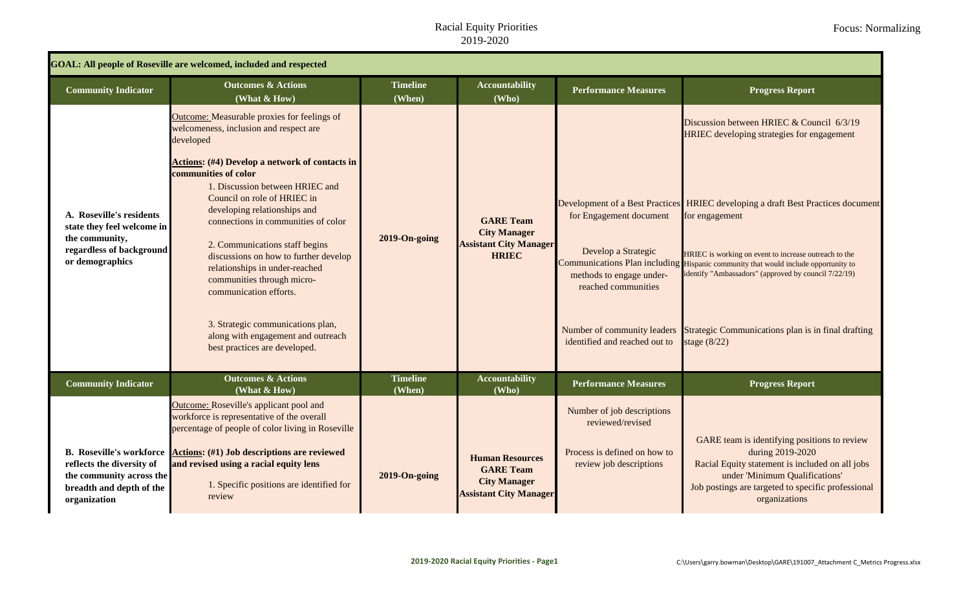## Racial Equity Priorities 2019-2020

| <b>GOAL: All people of Roseville are welcomed, included and respected</b>                                                            |                                                                                                                                                                                                                                                                                                                                                                                                                                                                                                                                                                                                               |                           |                                                                                                    |                                                                                                                                    |                                                                                                                                                                                                                                                                                                                                                                                                                                                                                                                 |  |  |  |
|--------------------------------------------------------------------------------------------------------------------------------------|---------------------------------------------------------------------------------------------------------------------------------------------------------------------------------------------------------------------------------------------------------------------------------------------------------------------------------------------------------------------------------------------------------------------------------------------------------------------------------------------------------------------------------------------------------------------------------------------------------------|---------------------------|----------------------------------------------------------------------------------------------------|------------------------------------------------------------------------------------------------------------------------------------|-----------------------------------------------------------------------------------------------------------------------------------------------------------------------------------------------------------------------------------------------------------------------------------------------------------------------------------------------------------------------------------------------------------------------------------------------------------------------------------------------------------------|--|--|--|
| <b>Community Indicator</b>                                                                                                           | <b>Outcomes &amp; Actions</b><br>(What & How)                                                                                                                                                                                                                                                                                                                                                                                                                                                                                                                                                                 | <b>Timeline</b><br>(When) | <b>Accountability</b><br>(Who)                                                                     | <b>Performance Measures</b>                                                                                                        | <b>Progress Report</b>                                                                                                                                                                                                                                                                                                                                                                                                                                                                                          |  |  |  |
| A. Roseville's residents<br>state they feel welcome in<br>the community,<br>regardless of background<br>or demographics              | Outcome: Measurable proxies for feelings of<br>welcomeness, inclusion and respect are<br>developed<br><b>Actions:</b> (#4) Develop a network of contacts in<br>communities of color<br>1. Discussion between HRIEC and<br>Council on role of HRIEC in<br>developing relationships and<br>connections in communities of color<br>2. Communications staff begins<br>discussions on how to further develop<br>relationships in under-reached<br>communities through micro-<br>communication efforts.<br>3. Strategic communications plan,<br>along with engagement and outreach<br>best practices are developed. | 2019-On-going             | <b>GARE Team</b><br><b>City Manager</b><br><b>Assistant City Manager</b><br><b>HRIEC</b>           | for Engagement document<br>Develop a Strategic<br>methods to engage under-<br>reached communities<br>identified and reached out to | Discussion between HRIEC & Council 6/3/19<br><b>HRIEC</b> developing strategies for engagement<br>Development of a Best Practices HRIEC developing a draft Best Practices document<br>for engagement<br>HRIEC is working on event to increase outreach to the<br>Communications Plan including Hispanic community that would include opportunity to<br>identify "Ambassadors" (approved by council 7/22/19)<br>Number of community leaders Strategic Communications plan is in final drafting<br>stage $(8/22)$ |  |  |  |
| <b>Community Indicator</b>                                                                                                           | <b>Outcomes &amp; Actions</b><br>(What & How)                                                                                                                                                                                                                                                                                                                                                                                                                                                                                                                                                                 | <b>Timeline</b><br>(When) | <b>Accountability</b><br>(Who)                                                                     | <b>Performance Measures</b>                                                                                                        | <b>Progress Report</b>                                                                                                                                                                                                                                                                                                                                                                                                                                                                                          |  |  |  |
| <b>B.</b> Roseville's workforce<br>reflects the diversity of<br>the community across the<br>breadth and depth of the<br>organization | Outcome: Roseville's applicant pool and<br>workforce is representative of the overall<br>percentage of people of color living in Roseville<br><b>Actions:</b> (#1) Job descriptions are reviewed<br>and revised using a racial equity lens<br>1. Specific positions are identified for<br>review                                                                                                                                                                                                                                                                                                              | 2019-On-going             | <b>Human Resources</b><br><b>GARE Team</b><br><b>City Manager</b><br><b>Assistant City Manager</b> | Number of job descriptions<br>reviewed/revised<br>Process is defined on how to<br>review job descriptions                          | GARE team is identifying positions to review<br>during 2019-2020<br>Racial Equity statement is included on all jobs<br>under 'Minimum Qualifications'<br>Job postings are targeted to specific professional<br>organizations                                                                                                                                                                                                                                                                                    |  |  |  |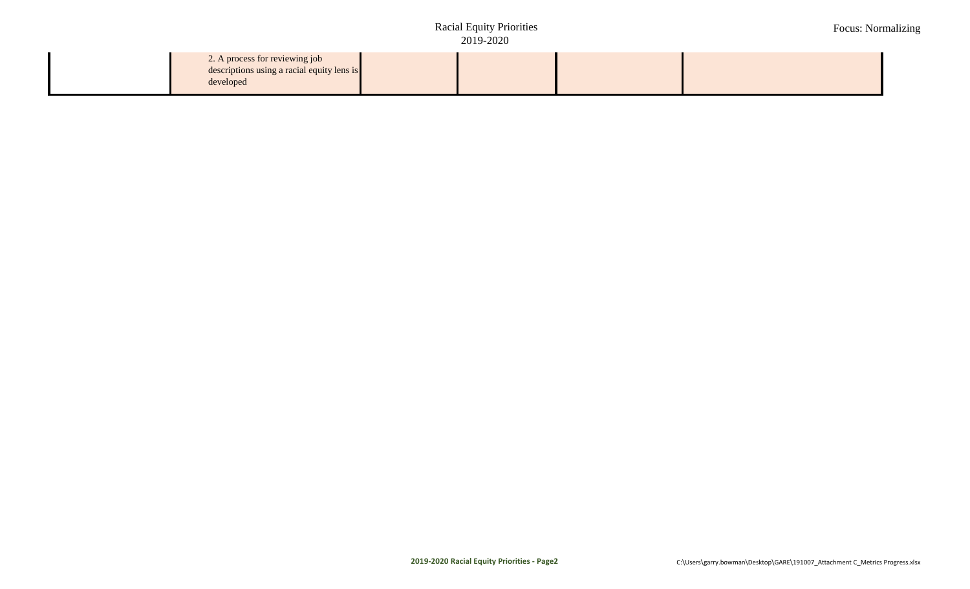## **Racial Equity Priorities** 2019-2020 **Assistant City Manager**

Focus: Normalizing